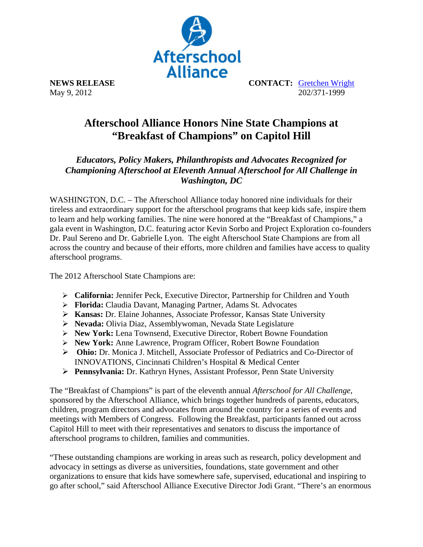

May 9, 2012

**NEWS RELEASE CONTACT: Gretchen Wright**<br>May 9, 2012

## **Afterschool Alliance Honors Nine State Champions at "Breakfast of Champions" on Capitol Hill**

*Educators, Policy Makers, Philanthropists and Advocates Recognized for Championing Afterschool at Eleventh Annual Afterschool for All Challenge in Washington, DC* 

WASHINGTON, D.C. – The Afterschool Alliance today honored nine individuals for their tireless and extraordinary support for the afterschool programs that keep kids safe, inspire them to learn and help working families. The nine were honored at the "Breakfast of Champions," a gala event in Washington, D.C. featuring actor Kevin Sorbo and Project Exploration co-founders Dr. Paul Sereno and Dr. Gabrielle Lyon. The eight Afterschool State Champions are from all across the country and because of their efforts, more children and families have access to quality afterschool programs.

The 2012 Afterschool State Champions are:

- **California:** Jennifer Peck, Executive Director, Partnership for Children and Youth
- **Florida:** Claudia Davant, Managing Partner, Adams St. Advocates
- **Kansas:** Dr. Elaine Johannes, Associate Professor, Kansas State University
- **Nevada:** Olivia Diaz, Assemblywoman, Nevada State Legislature
- **New York:** Lena Townsend, Executive Director, Robert Bowne Foundation
- **New York:** Anne Lawrence, Program Officer, Robert Bowne Foundation
- **Ohio:** Dr. Monica J. Mitchell, Associate Professor of Pediatrics and Co-Director of INNOVATIONS, Cincinnati Children's Hospital & Medical Center
- **Pennsylvania:** Dr. Kathryn Hynes, Assistant Professor, Penn State University

The "Breakfast of Champions" is part of the eleventh annual *Afterschool for All Challenge,* sponsored by the Afterschool Alliance, which brings together hundreds of parents, educators, children, program directors and advocates from around the country for a series of events and meetings with Members of Congress. Following the Breakfast, participants fanned out across Capitol Hill to meet with their representatives and senators to discuss the importance of afterschool programs to children, families and communities.

"These outstanding champions are working in areas such as research, policy development and advocacy in settings as diverse as universities, foundations, state government and other organizations to ensure that kids have somewhere safe, supervised, educational and inspiring to go after school," said Afterschool Alliance Executive Director Jodi Grant. "There's an enormous